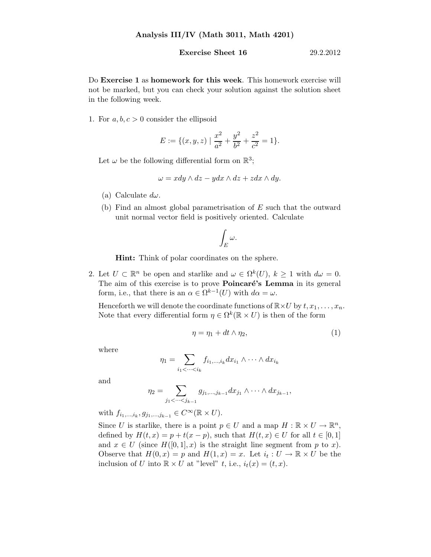## **Exercise Sheet 16** 29.2.2012

Do Exercise 1 as homework for this week. This homework exercise will not be marked, but you can check your solution against the solution sheet in the following week.

1. For  $a, b, c > 0$  consider the ellipsoid

$$
E := \{ (x, y, z) \mid \frac{x^2}{a^2} + \frac{y^2}{b^2} + \frac{z^2}{c^2} = 1 \}.
$$

Let  $\omega$  be the following differential form on  $\mathbb{R}^3$ ;

$$
\omega = x dy \wedge dz - y dx \wedge dz + z dx \wedge dy.
$$

- (a) Calculate  $d\omega$ .
- (b) Find an almost global parametrisation of E such that the outward unit normal vector field is positively oriented. Calculate

$$
\int_E \omega.
$$

Hint: Think of polar coordinates on the sphere.

2. Let  $U \subset \mathbb{R}^n$  be open and starlike and  $\omega \in \Omega^k(U)$ ,  $k \geq 1$  with  $d\omega = 0$ . The aim of this exercise is to prove **Poincaré's Lemma** in its general form, i.e., that there is an  $\alpha \in \Omega^{k-1}(U)$  with  $d\alpha = \omega$ .

Henceforth we will denote the coordinate functions of  $\mathbb{R}\times U$  by  $t, x_1, \ldots, x_n$ . Note that every differential form  $\eta \in \Omega^k(\mathbb{R} \times U)$  is then of the form

$$
\eta = \eta_1 + dt \wedge \eta_2,\tag{1}
$$

where

$$
\eta_1 = \sum_{i_1 < \dots < i_k} f_{i_1, \dots, i_k} dx_{i_1} \wedge \dots \wedge dx_{i_k}
$$

and

$$
\eta_2=\sum_{j_1<\cdots
$$

with  $f_{i_1,\dots,i_k}, g_{j_1,\dots,j_{k-1}} \in C^{\infty}(\mathbb{R} \times U)$ .

Since U is starlike, there is a point  $p \in U$  and a map  $H : \mathbb{R} \times U \to \mathbb{R}^n$ , defined by  $H(t, x) = p + t(x - p)$ , such that  $H(t, x) \in U$  for all  $t \in [0, 1]$ and  $x \in U$  (since  $H([0,1],x)$  is the straight line segment from p to x). Observe that  $H(0, x) = p$  and  $H(1, x) = x$ . Let  $i_t : U \to \mathbb{R} \times U$  be the inclusion of U into  $\mathbb{R} \times U$  at "level" t, i.e.,  $i_t(x) = (t, x)$ .